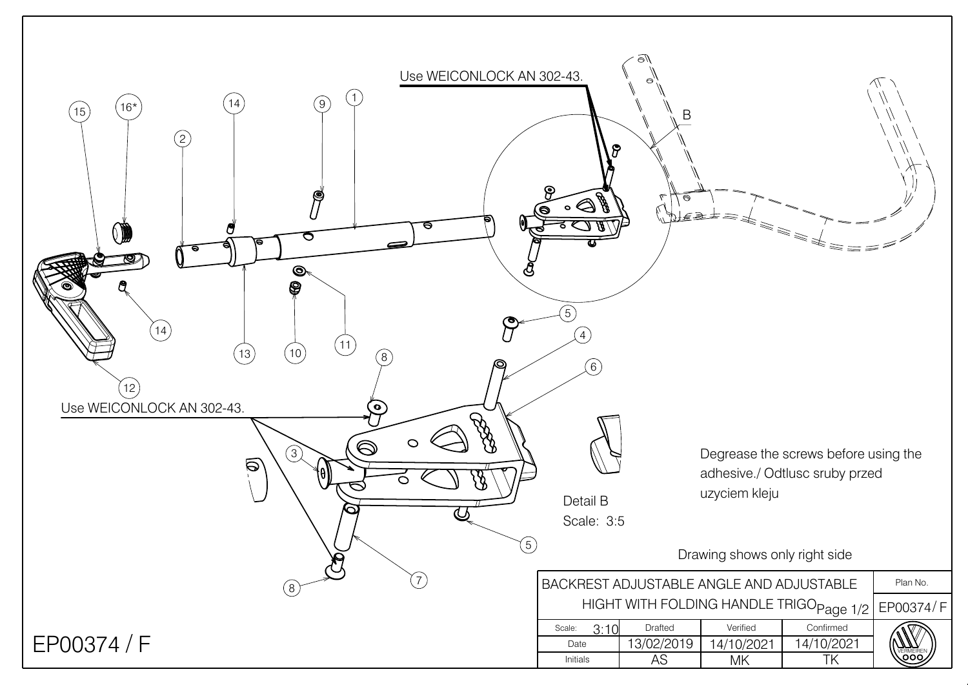